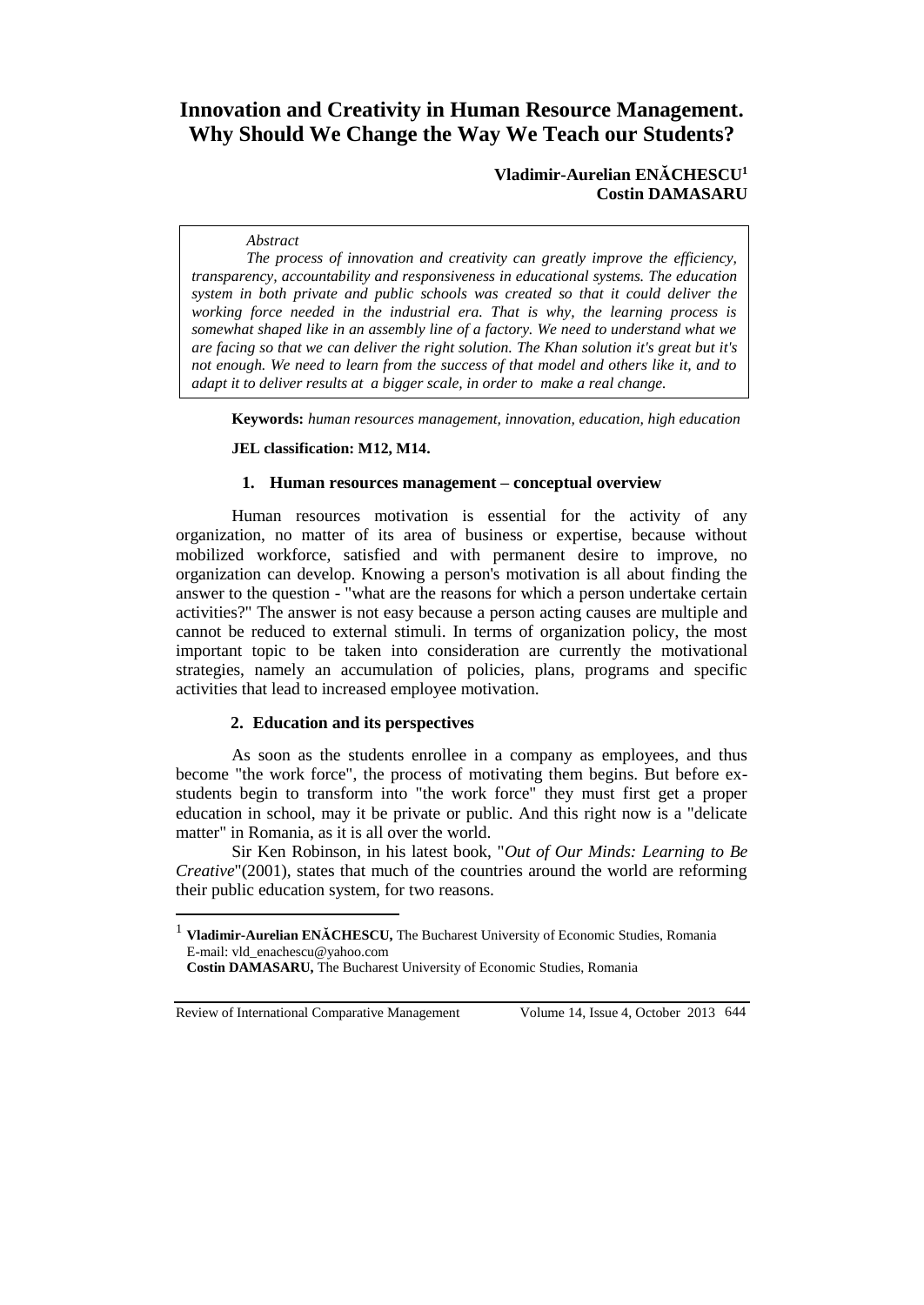# **Innovation and Creativity in Human Resource Management. Why Should We Change the Way We Teach our Students?**

## **Vladimir-Aurelian ENĂCHESCU<sup>1</sup> Costin DAMASARU**

#### *Abstract*

*The process of innovation and creativity can greatly improve the efficiency, transparency, accountability and responsiveness in educational systems. The education system in both private and public schools was created so that it could deliver the working force needed in the industrial era. That is why, the learning process is somewhat shaped like in an assembly line of a factory. We need to understand what we are facing so that we can deliver the right solution. The Khan solution it's great but it's not enough. We need to learn from the success of that model and others like it, and to adapt it to deliver results at a bigger scale, in order to make a real change.*

**Keywords:** *human resources management, innovation, education, high education*

#### **JEL classification: M12, M14.**

#### **1. Human resources management – conceptual overview**

Human resources motivation is essential for the activity of any organization, no matter of its area of business or expertise, because without mobilized workforce, satisfied and with permanent desire to improve, no organization can develop. Knowing a person's motivation is all about finding the answer to the question - "what are the reasons for which a person undertake certain activities?" The answer is not easy because a person acting causes are multiple and cannot be reduced to external stimuli. In terms of organization policy, the most important topic to be taken into consideration are currently the motivational strategies, namely an accumulation of policies, plans, programs and specific activities that lead to increased employee motivation.

## **2. Education and its perspectives**

As soon as the students enrollee in a company as employees, and thus become "the work force", the process of motivating them begins. But before exstudents begin to transform into "the work force" they must first get a proper education in school, may it be private or public. And this right now is a "delicate matter" in Romania, as it is all over the world.

Sir Ken Robinson, in his latest book, "*Out of Our Minds: Learning to Be Creative*"(2001), states that much of the countries around the world are reforming their public education system, for two reasons.

Review of International Comparative Management Volume 14, Issue 4, October 2013 644

 $\overline{a}$ 

<sup>1</sup> **Vladimir-Aurelian ENĂCHESCU,** The Bucharest University of Economic Studies, Romania E-mail: vld\_enachescu@yahoo.com

**Costin DAMASARU,** The Bucharest University of Economic Studies, Romania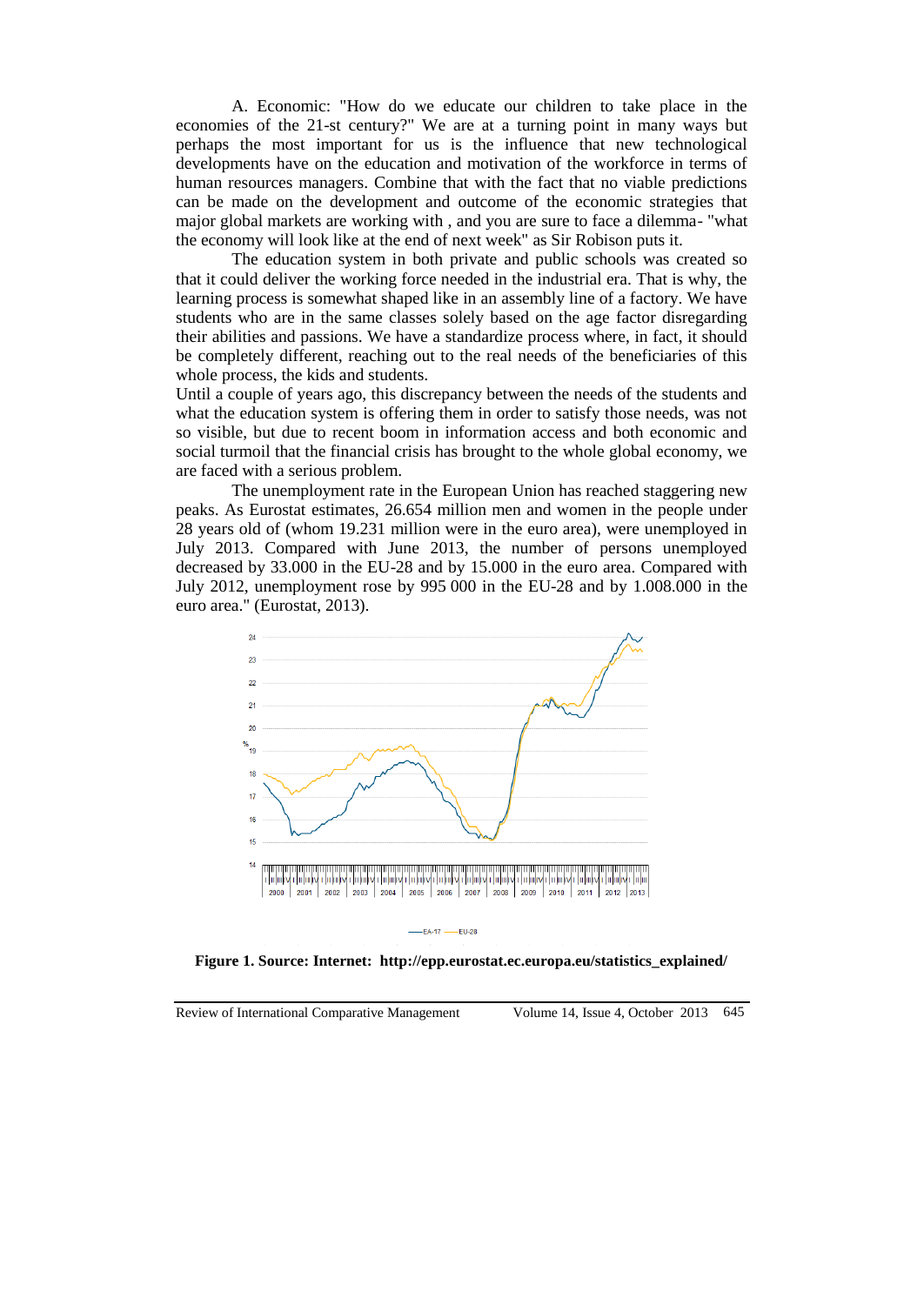A. Economic: "How do we educate our children to take place in the economies of the 21-st century?" We are at a turning point in many ways but perhaps the most important for us is the influence that new technological developments have on the education and motivation of the workforce in terms of human resources managers. Combine that with the fact that no viable predictions can be made on the development and outcome of the economic strategies that major global markets are working with , and you are sure to face a dilemma- "what the economy will look like at the end of next week" as Sir Robison puts it.

The education system in both private and public schools was created so that it could deliver the working force needed in the industrial era. That is why, the learning process is somewhat shaped like in an assembly line of a factory. We have students who are in the same classes solely based on the age factor disregarding their abilities and passions. We have a standardize process where, in fact, it should be completely different, reaching out to the real needs of the beneficiaries of this whole process, the kids and students.

Until a couple of years ago, this discrepancy between the needs of the students and what the education system is offering them in order to satisfy those needs, was not so visible, but due to recent boom in information access and both economic and social turmoil that the financial crisis has brought to the whole global economy, we are faced with a serious problem.

The unemployment rate in the European Union has reached staggering new peaks. As Eurostat estimates, 26.654 million men and women in the people under 28 years old of (whom 19.231 million were in the euro area), were unemployed in July 2013. Compared with June 2013, the number of persons unemployed decreased by 33.000 in the EU-28 and by 15.000 in the euro area. Compared with July 2012, unemployment rose by 995 000 in the EU-28 and by 1.008.000 in the euro area." (Eurostat, 2013).



**Figure 1. Source: Internet: http://epp.eurostat.ec.europa.eu/statistics\_explained/**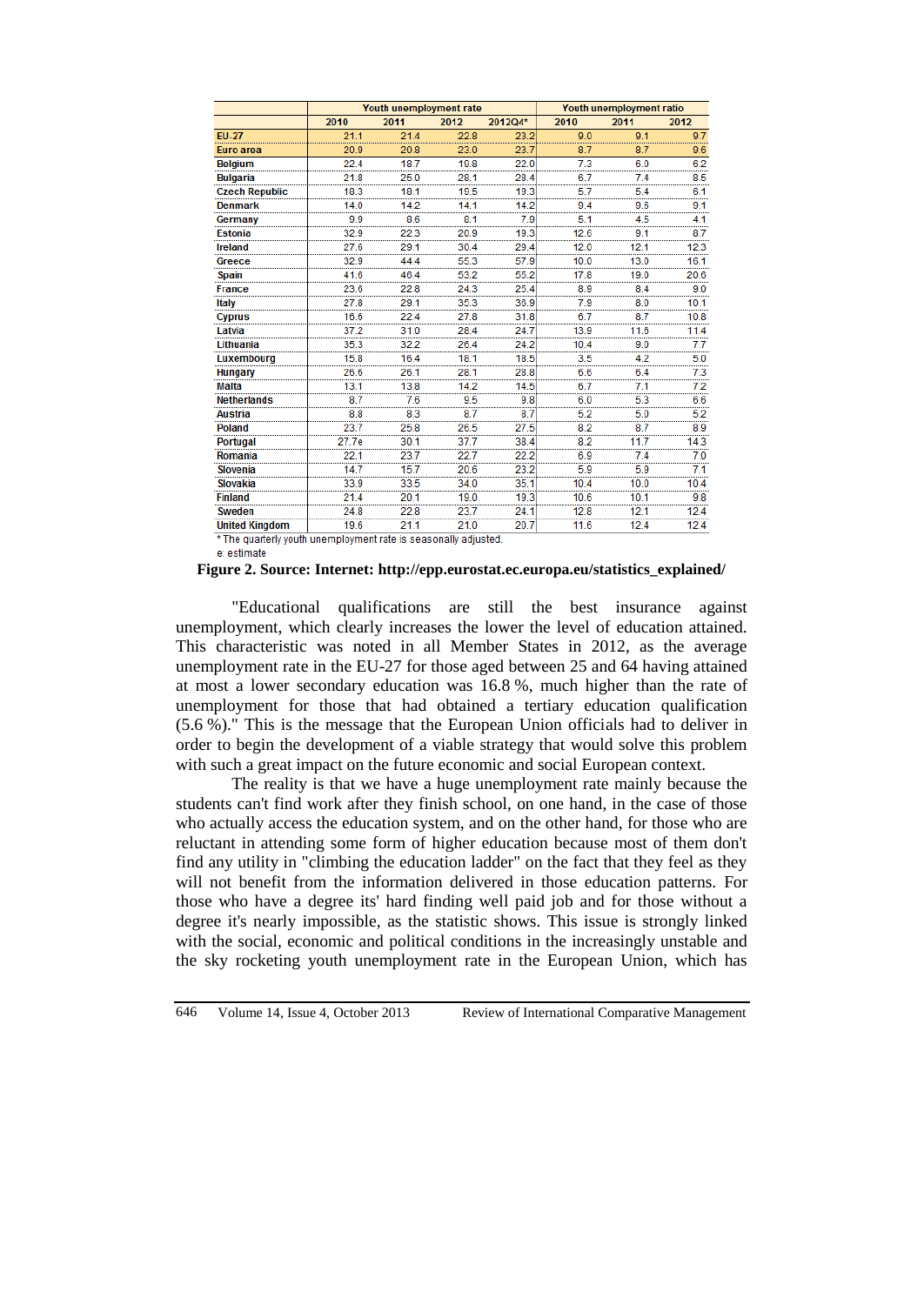|                                                                 | Youth unemployment rate |      |                  |           | Youth unemployment ratio |      |                  |
|-----------------------------------------------------------------|-------------------------|------|------------------|-----------|--------------------------|------|------------------|
|                                                                 | 2010                    | 2011 | 2012             | 2012Q4*   | 2010                     | 2011 | 2012             |
| <b>EU-27</b>                                                    | 21.1                    | 21.4 | 22.8             | 23.2      | 9.0                      | 9.1  | 9.7              |
| Euro area                                                       | 20.9                    | 20.8 | 23.0             | 23.7      | 8.7                      | 8.7  | 9.6              |
| <b>Belgium</b>                                                  | 22.4                    | 18.7 | 19.8             | 22.0<br>  | 7.3                      | 6.0  | 6.2              |
| <b>Bulgaria</b>                                                 | 21.8                    | 25.0 | 28.1             | 28.4<br>  | 6.7                      | 7.4  | 8.5              |
| <b>Czech Republic</b>                                           | 18.3                    | 18.1 | 19.5             | 19.3      | 5.7                      | 5.4  | 6.1              |
| <b>Denmark</b>                                                  | 14.0                    | 14.2 | 14.1             | 14.2      | 9.4                      | 9.6  | 9.1              |
| Germany                                                         | 9.9                     | 8.6  | 8.1              | 7.9       | 5.1                      | 4.5  | 4.1              |
| <b>Estonia</b>                                                  | 32.9                    | 22.3 | 20.9             | <br>19.3  | 12.6                     | 9.1  | 8.7              |
| <b>Ireland</b>                                                  | 27.6                    | 29.1 | 30.4             | 29.4      | 12.0                     | 12.1 | $\frac{1}{12.3}$ |
| Greece                                                          | 32.9                    | 44.4 | 55.3             | 57.9      | 10.0                     | 13.0 | 16.1             |
| <b>Spain</b>                                                    | 41.6                    | 46.4 | 53.2             | 55.2      | 17.8                     | 19.0 | 20.6             |
| <b>France</b>                                                   | 23.6                    | 22.8 | $\frac{1}{24.3}$ | 25.4      | $\overline{8.9}$         | 8.4  | <br>9.0          |
| Italy                                                           | 27.8                    | 29.1 | 35.3             | 36.9      | 7.9                      | 8.0  | 10.1             |
| <b>Cyprus</b>                                                   | 16.6                    | 22.4 | 27.8             | 31.8      | 6.7                      | 8.7  | 10.8             |
| Latvia                                                          | 37.2                    | 31.0 | $\frac{1}{28.4}$ | .<br>24.7 | 13.9                     | 11.6 | 11.4             |
| Lithuania                                                       | 35.3                    | 32.2 | 26.4             | 24.2      | 10.4                     | 9.0  | 7.7              |
| <b>Luxembourg</b>                                               | 15.8                    | 16.4 | 18.1             | 18.5      | 3.5                      | 4.2  | 5.0              |
| <b>Hungary</b>                                                  | 26.6                    | 26.1 | 28.1             | 28.8      | 6.6                      | 6.4  | 7.3              |
| Malta                                                           | 13.1                    | 13.8 | 14.2             | 14.5      | 67                       | 7.1  | 7.2              |
| <b>Netherlands</b>                                              | $\frac{1}{8.7}$<br>     | 76   | $\frac{1}{9.5}$  | 9.8<br>   | 6.0                      | 5.3  | 6.6              |
| <b>Austria</b>                                                  | 8.8                     | 8.3  | 8.7              | 8.7       | 5.2                      | 5.0  | 5.2              |
| <b>Poland</b>                                                   | 23.7                    | 25.8 | 26.5             | 27.5      | 8.2                      | 8.7  | 8.9              |
| Portugal                                                        | 27.7e                   | 30.1 | 37.7             | 38.4      | 8.2                      | 11.7 | 14.3             |
| Romania                                                         | 22.1                    | 23.7 | 22.7             | 22.2      | 6.9                      | 7.4  | 7.0              |
| Slovenia                                                        | 14.7                    | 15.7 | 20.6             | 23.2      | 5.9                      | 5.9  | 7.1              |
| <b>Slovakia</b>                                                 | 33.9                    | 33.5 | 34.0             | <br>35.1  | 10.4                     | 10.0 | 10.4             |
| <b>Finland</b>                                                  | 21.4                    | 20.1 | 19.0             | 19.3      | 10.6                     | 10.1 | 9.8              |
| <b>Sweden</b>                                                   | 24.8                    | 228  | 23.7             | 24.1      | 12.8                     | 12.1 | 12.4             |
| <b>United Kingdom</b>                                           | 19.6                    | 21.1 | 21.0             | 20.7      | 11.6                     | 12.4 | 12.4             |
| * The quarterly youth unemployment rate is seasonally adjusted. |                         |      |                  |           |                          |      |                  |

e: estimate

"Educational qualifications are still the best insurance against unemployment, which clearly increases the lower the level of education attained. This characteristic was noted in all Member States in 2012, as the average unemployment rate in the EU-27 for those aged between 25 and 64 having attained at most a lower secondary education was 16.8 %, much higher than the rate of unemployment for those that had obtained a tertiary education qualification (5.6 %)." This is the message that the European Union officials had to deliver in order to begin the development of a viable strategy that would solve this problem with such a great impact on the future economic and social European context.

The reality is that we have a huge unemployment rate mainly because the students can't find work after they finish school, on one hand, in the case of those who actually access the education system, and on the other hand, for those who are reluctant in attending some form of higher education because most of them don't find any utility in "climbing the education ladder" on the fact that they feel as they will not benefit from the information delivered in those education patterns. For those who have a degree its' hard finding well paid job and for those without a degree it's nearly impossible, as the statistic shows. This issue is strongly linked with the social, economic and political conditions in the increasingly unstable and the sky rocketing youth unemployment rate in the European Union, which has

**Figure 2. Source: Internet: http://epp.eurostat.ec.europa.eu/statistics\_explained/**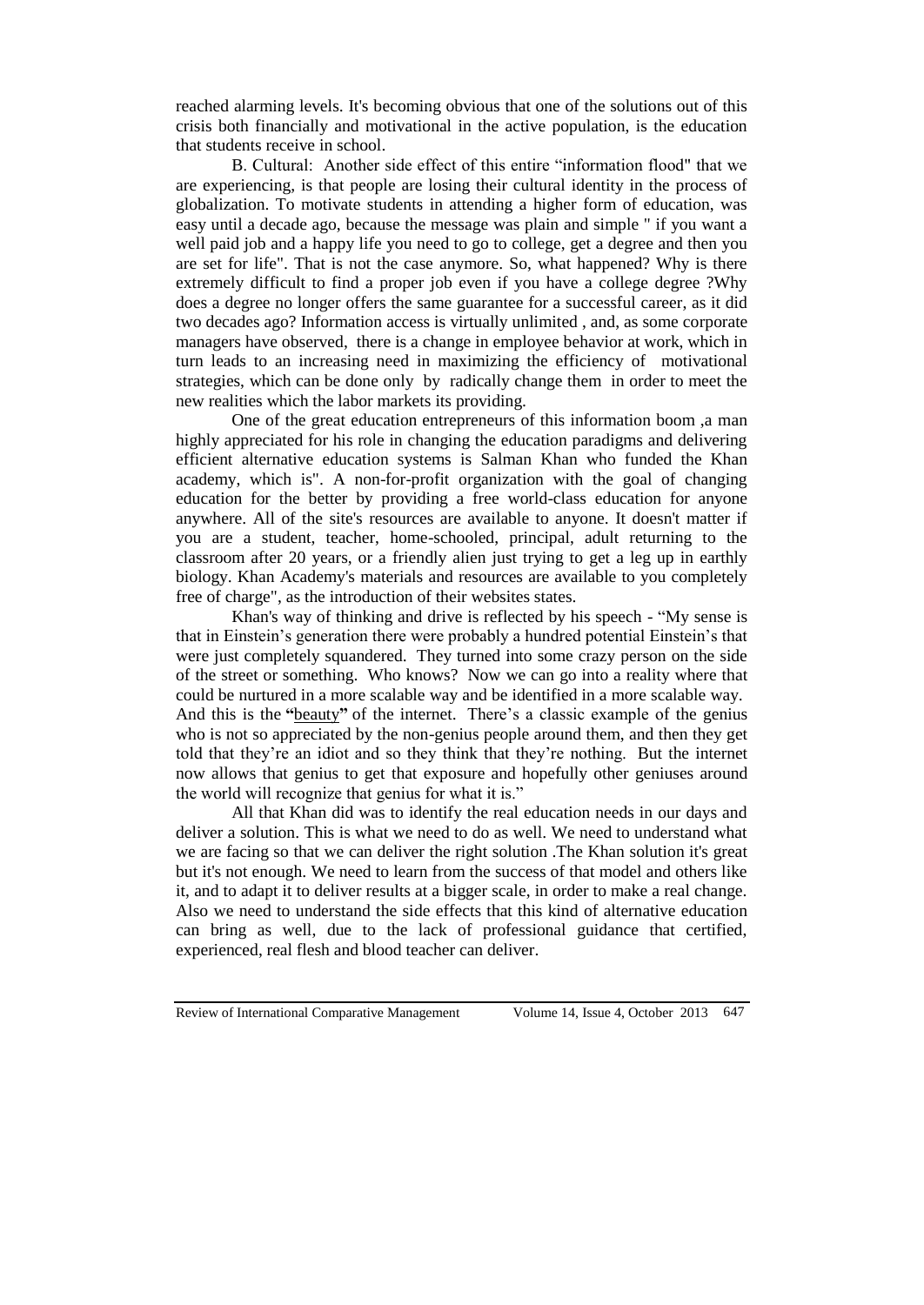reached alarming levels. It's becoming obvious that one of the solutions out of this crisis both financially and motivational in the active population, is the education that students receive in school.

B. Cultural: Another side effect of this entire "information flood" that we are experiencing, is that people are losing their cultural identity in the process of globalization. To motivate students in attending a higher form of education, was easy until a decade ago, because the message was plain and simple " if you want a well paid job and a happy life you need to go to college, get a degree and then you are set for life". That is not the case anymore. So, what happened? Why is there extremely difficult to find a proper job even if you have a college degree ?Why does a degree no longer offers the same guarantee for a successful career, as it did two decades ago? Information access is virtually unlimited , and, as some corporate managers have observed, there is a change in employee behavior at work, which in turn leads to an increasing need in maximizing the efficiency of motivational strategies, which can be done only by radically change them in order to meet the new realities which the labor markets its providing.

One of the great education entrepreneurs of this information boom ,a man highly appreciated for his role in changing the education paradigms and delivering efficient alternative education systems is Salman Khan who funded the Khan academy, which is". A non-for-profit organization with the goal of changing education for the better by providing a free world-class education for anyone anywhere. All of the site's resources are available to anyone. It doesn't matter if you are a student, teacher, home-schooled, principal, adult returning to the classroom after 20 years, or a friendly alien just trying to get a leg up in earthly biology. Khan Academy's materials and resources are available to you completely free of charge", as the introduction of their websites states.

Khan's way of thinking and drive is reflected by his speech - "My sense is that in Einstein's generation there were probably a hundred potential Einstein's that were just completely squandered. They turned into some crazy person on the side of the street or something. Who knows? Now we can go into a reality where that could be nurtured in a more scalable way and be identified in a more scalable way. And this is the **"**[beauty](http://www.psychologytoday.com/basics/beauty)**"** of the internet. There's a classic example of the genius who is not so appreciated by the non-genius people around them, and then they get told that they're an idiot and so they think that they're nothing. But the internet now allows that genius to get that exposure and hopefully other geniuses around the world will recognize that genius for what it is."

All that Khan did was to identify the real education needs in our days and deliver a solution. This is what we need to do as well. We need to understand what we are facing so that we can deliver the right solution .The Khan solution it's great but it's not enough. We need to learn from the success of that model and others like it, and to adapt it to deliver results at a bigger scale, in order to make a real change. Also we need to understand the side effects that this kind of alternative education can bring as well, due to the lack of professional guidance that certified, experienced, real flesh and blood teacher can deliver.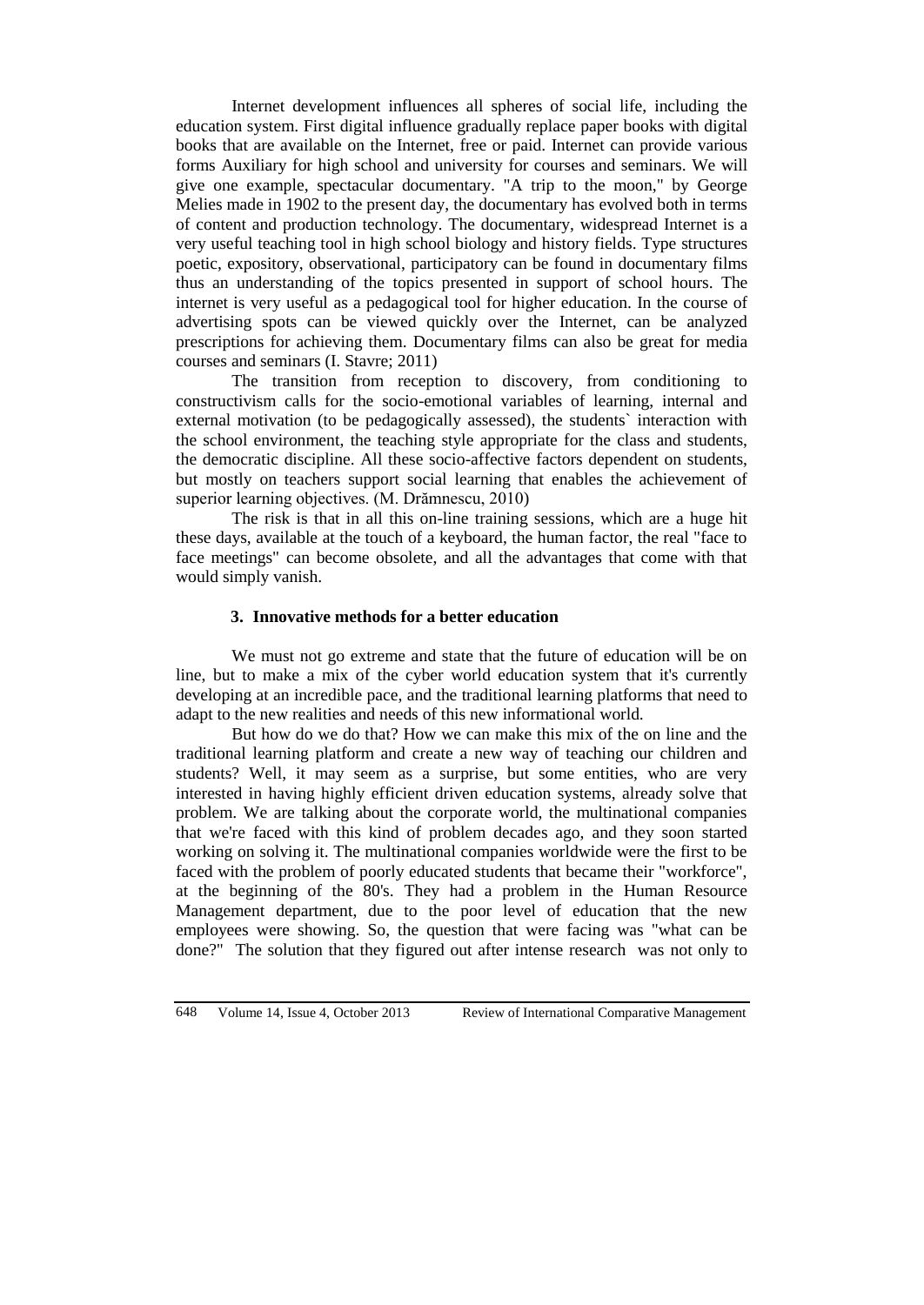Internet development influences all spheres of social life, including the education system. First digital influence gradually replace paper books with digital books that are available on the Internet, free or paid. Internet can provide various forms Auxiliary for high school and university for courses and seminars. We will give one example, spectacular documentary. "A trip to the moon," by George Melies made in 1902 to the present day, the documentary has evolved both in terms of content and production technology. The documentary, widespread Internet is a very useful teaching tool in high school biology and history fields. Type structures poetic, expository, observational, participatory can be found in documentary films thus an understanding of the topics presented in support of school hours. The internet is very useful as a pedagogical tool for higher education. In the course of advertising spots can be viewed quickly over the Internet, can be analyzed prescriptions for achieving them. Documentary films can also be great for media courses and seminars (I. Stavre; 2011)

The transition from reception to discovery, from conditioning to constructivism calls for the socio-emotional variables of learning, internal and external motivation (to be pedagogically assessed), the students` interaction with the school environment, the teaching style appropriate for the class and students, the democratic discipline. All these socio-affective factors dependent on students, but mostly on teachers support social learning that enables the achievement of superior learning objectives. (M. Drămnescu, 2010)

The risk is that in all this on-line training sessions, which are a huge hit these days, available at the touch of a keyboard, the human factor, the real "face to face meetings" can become obsolete, and all the advantages that come with that would simply vanish.

### **3. Innovative methods for a better education**

We must not go extreme and state that the future of education will be on line, but to make a mix of the cyber world education system that it's currently developing at an incredible pace, and the traditional learning platforms that need to adapt to the new realities and needs of this new informational world.

But how do we do that? How we can make this mix of the on line and the traditional learning platform and create a new way of teaching our children and students? Well, it may seem as a surprise, but some entities, who are very interested in having highly efficient driven education systems, already solve that problem. We are talking about the corporate world, the multinational companies that we're faced with this kind of problem decades ago, and they soon started working on solving it. The multinational companies worldwide were the first to be faced with the problem of poorly educated students that became their "workforce", at the beginning of the 80's. They had a problem in the Human Resource Management department, due to the poor level of education that the new employees were showing. So, the question that were facing was "what can be done?" The solution that they figured out after intense research was not only to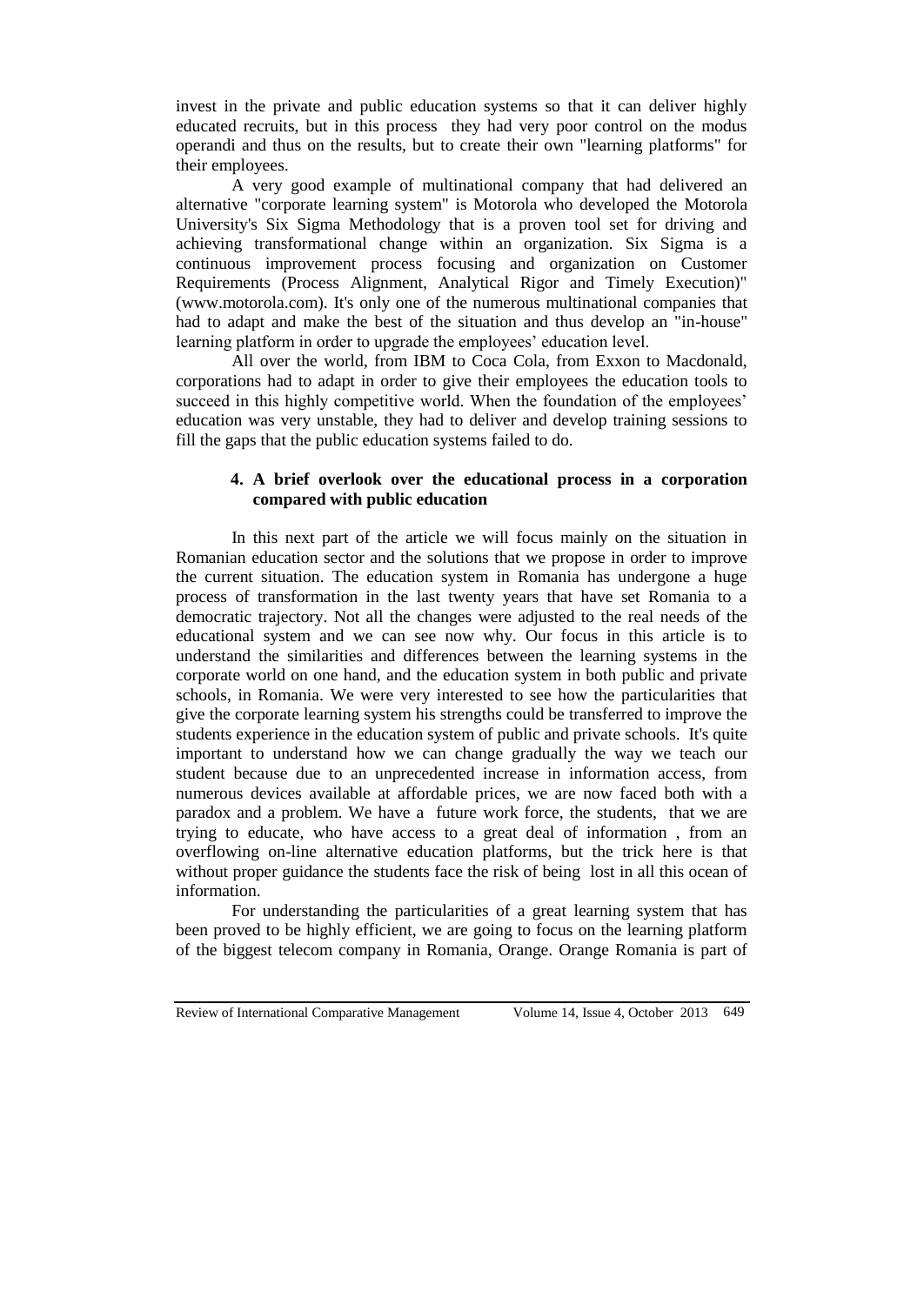invest in the private and public education systems so that it can deliver highly educated recruits, but in this process they had very poor control on the modus operandi and thus on the results, but to create their own "learning platforms" for their employees.

A very good example of multinational company that had delivered an alternative "corporate learning system" is Motorola who developed the Motorola University's Six Sigma Methodology that is a proven tool set for driving and achieving transformational change within an organization. Six Sigma is a continuous improvement process focusing and organization on Customer Requirements (Process Alignment, Analytical Rigor and Timely Execution)" (www.motorola.com). It's only one of the numerous multinational companies that had to adapt and make the best of the situation and thus develop an "in-house" learning platform in order to upgrade the employees' education level.

All over the world, from IBM to Coca Cola, from Exxon to Macdonald, corporations had to adapt in order to give their employees the education tools to succeed in this highly competitive world. When the foundation of the employees' education was very unstable, they had to deliver and develop training sessions to fill the gaps that the public education systems failed to do.

# **4. A brief overlook over the educational process in a corporation compared with public education**

In this next part of the article we will focus mainly on the situation in Romanian education sector and the solutions that we propose in order to improve the current situation. The education system in Romania has undergone a huge process of transformation in the last twenty years that have set Romania to a democratic trajectory. Not all the changes were adjusted to the real needs of the educational system and we can see now why. Our focus in this article is to understand the similarities and differences between the learning systems in the corporate world on one hand, and the education system in both public and private schools, in Romania. We were very interested to see how the particularities that give the corporate learning system his strengths could be transferred to improve the students experience in the education system of public and private schools. It's quite important to understand how we can change gradually the way we teach our student because due to an unprecedented increase in information access, from numerous devices available at affordable prices, we are now faced both with a paradox and a problem. We have a future work force, the students, that we are trying to educate, who have access to a great deal of information , from an overflowing on-line alternative education platforms, but the trick here is that without proper guidance the students face the risk of being lost in all this ocean of information.

For understanding the particularities of a great learning system that has been proved to be highly efficient, we are going to focus on the learning platform of the biggest telecom company in Romania, Orange. Orange Romania is part of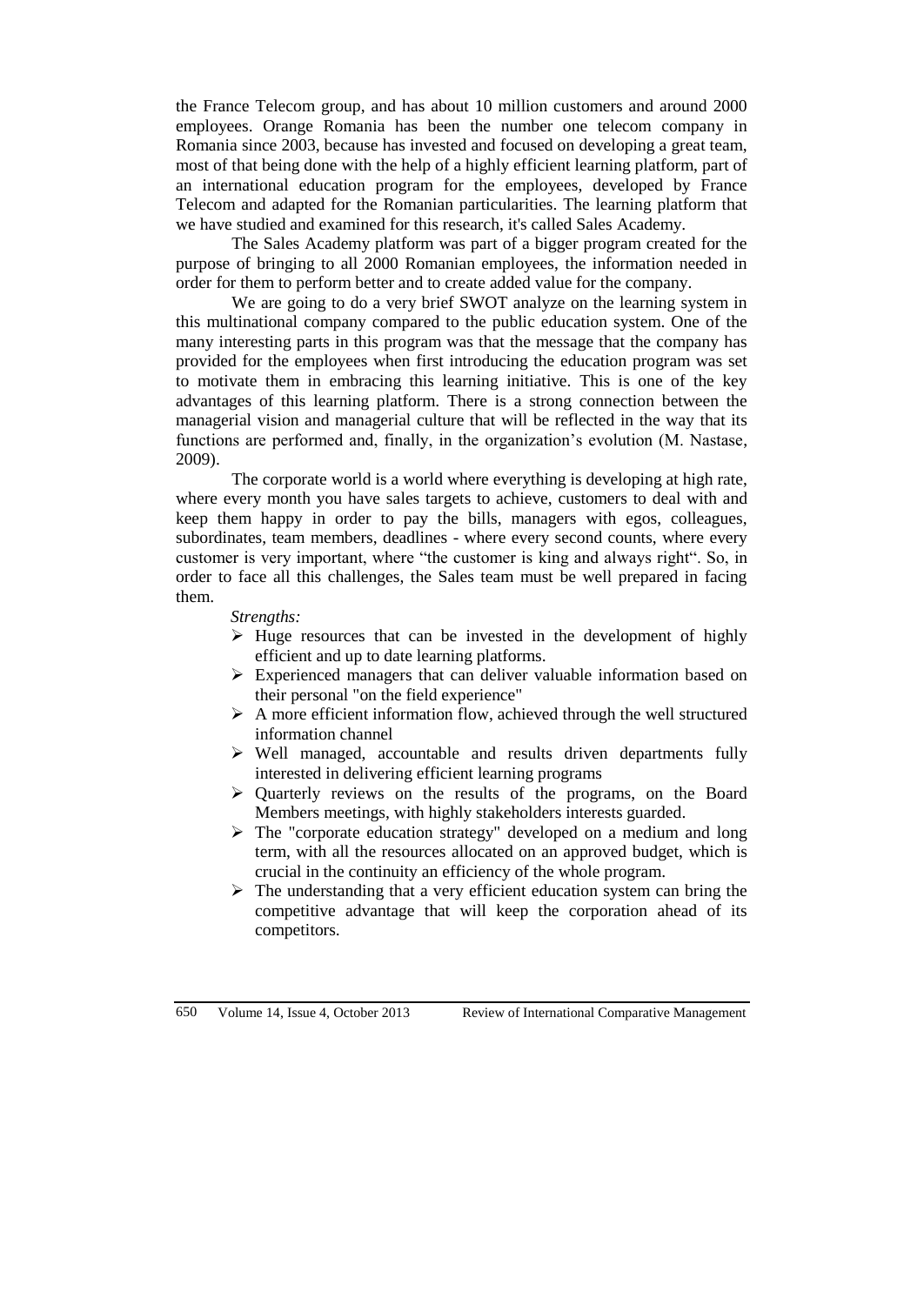the France Telecom group, and has about 10 million customers and around 2000 employees. Orange Romania has been the number one telecom company in Romania since 2003, because has invested and focused on developing a great team, most of that being done with the help of a highly efficient learning platform, part of an international education program for the employees, developed by France Telecom and adapted for the Romanian particularities. The learning platform that we have studied and examined for this research, it's called Sales Academy.

The Sales Academy platform was part of a bigger program created for the purpose of bringing to all 2000 Romanian employees, the information needed in order for them to perform better and to create added value for the company.

We are going to do a very brief SWOT analyze on the learning system in this multinational company compared to the public education system. One of the many interesting parts in this program was that the message that the company has provided for the employees when first introducing the education program was set to motivate them in embracing this learning initiative. This is one of the key advantages of this learning platform. There is a strong connection between the managerial vision and managerial culture that will be reflected in the way that its functions are performed and, finally, in the organization's evolution (M. Nastase, 2009).

The corporate world is a world where everything is developing at high rate, where every month you have sales targets to achieve, customers to deal with and keep them happy in order to pay the bills, managers with egos, colleagues, subordinates, team members, deadlines - where every second counts, where every customer is very important, where "the customer is king and always right". So, in order to face all this challenges, the Sales team must be well prepared in facing them.

## *Strengths:*

- $\triangleright$  Huge resources that can be invested in the development of highly efficient and up to date learning platforms.
- Experienced managers that can deliver valuable information based on their personal "on the field experience"
- $\triangleright$  A more efficient information flow, achieved through the well structured information channel
- $\triangleright$  Well managed, accountable and results driven departments fully interested in delivering efficient learning programs
- $\triangleright$  Quarterly reviews on the results of the programs, on the Board Members meetings, with highly stakeholders interests guarded.
- The "corporate education strategy" developed on a medium and long term, with all the resources allocated on an approved budget, which is crucial in the continuity an efficiency of the whole program.
- $\triangleright$  The understanding that a very efficient education system can bring the competitive advantage that will keep the corporation ahead of its competitors.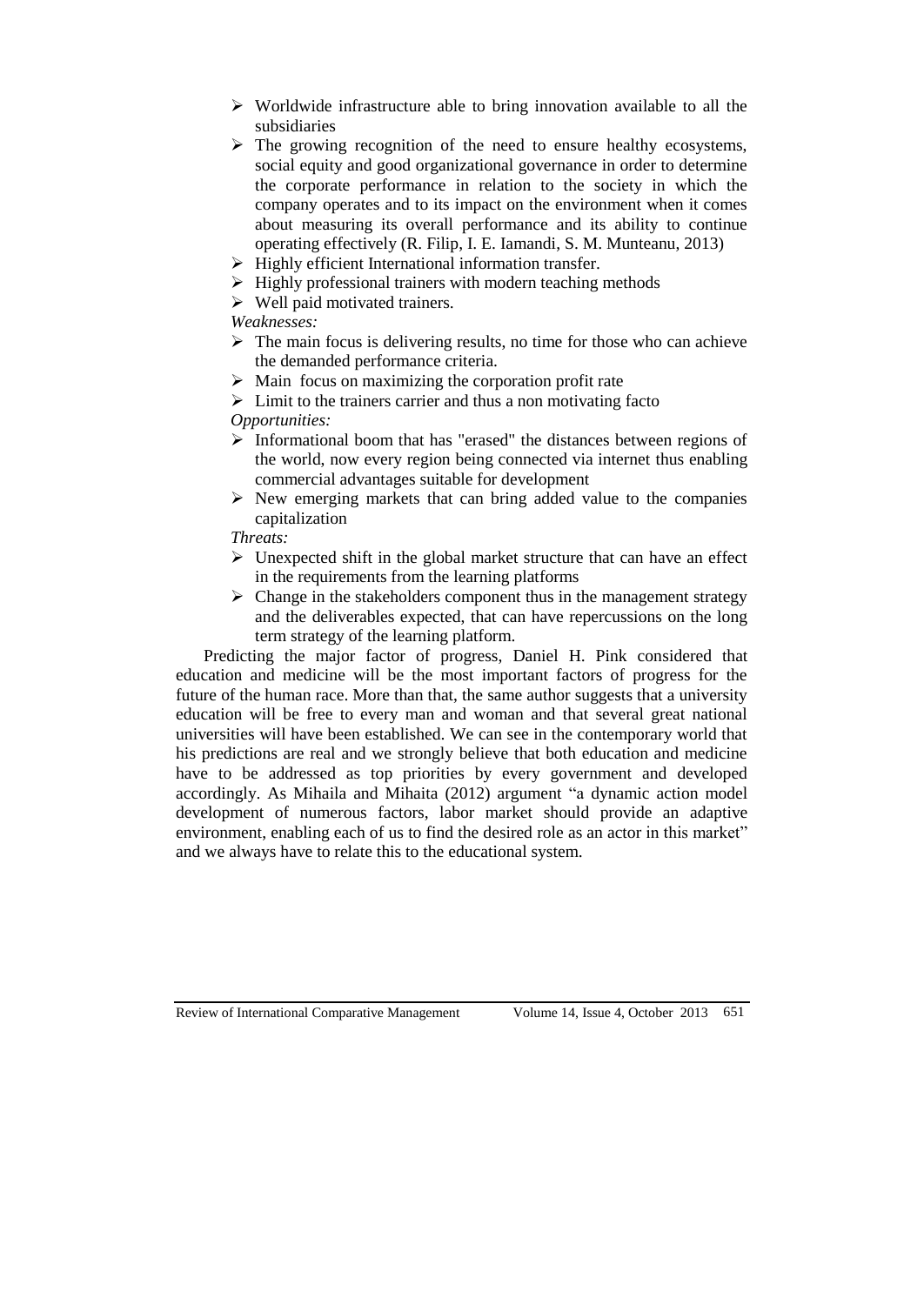- $\triangleright$  Worldwide infrastructure able to bring innovation available to all the subsidiaries
- $\triangleright$  The growing recognition of the need to ensure healthy ecosystems, social equity and good organizational governance in order to determine the corporate performance in relation to the society in which the company operates and to its impact on the environment when it comes about measuring its overall performance and its ability to continue operating effectively (R. Filip, I. E. Iamandi, S. M. Munteanu, 2013)
- $\triangleright$  Highly efficient International information transfer.
- $\triangleright$  Highly professional trainers with modern teaching methods
- $\triangleright$  Well paid motivated trainers.

*Weaknesses:*

- $\triangleright$  The main focus is delivering results, no time for those who can achieve the demanded performance criteria.
- $\triangleright$  Main focus on maximizing the corporation profit rate
- $\triangleright$  Limit to the trainers carrier and thus a non motivating facto *Opportunities:*
- $\triangleright$  Informational boom that has "erased" the distances between regions of the world, now every region being connected via internet thus enabling commercial advantages suitable for development
- $\triangleright$  New emerging markets that can bring added value to the companies capitalization

# *Threats:*

- $\triangleright$  Unexpected shift in the global market structure that can have an effect in the requirements from the learning platforms
- $\triangleright$  Change in the stakeholders component thus in the management strategy and the deliverables expected, that can have repercussions on the long term strategy of the learning platform.

Predicting the major factor of progress, Daniel H. Pink considered that education and medicine will be the most important factors of progress for the future of the human race. More than that, the same author suggests that a university education will be free to every man and woman and that several great national universities will have been established. We can see in the contemporary world that his predictions are real and we strongly believe that both education and medicine have to be addressed as top priorities by every government and developed accordingly. As Mihaila and Mihaita (2012) argument "a dynamic action model development of numerous factors, labor market should provide an adaptive environment, enabling each of us to find the desired role as an actor in this market" and we always have to relate this to the educational system.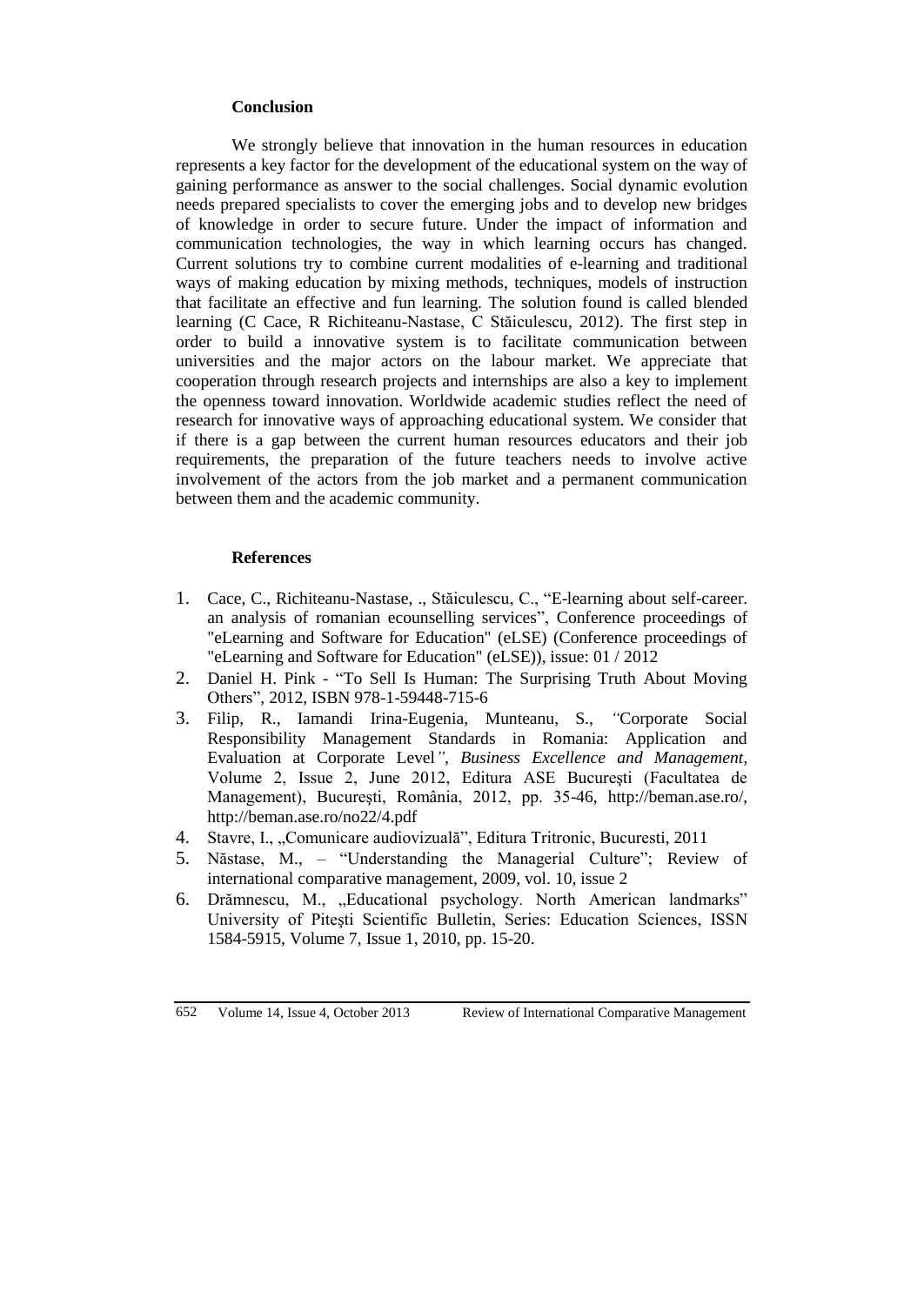## **Conclusion**

We strongly believe that innovation in the human resources in education represents a key factor for the development of the educational system on the way of gaining performance as answer to the social challenges. Social dynamic evolution needs prepared specialists to cover the emerging jobs and to develop new bridges of knowledge in order to secure future. Under the impact of information and communication technologies, the way in which learning occurs has changed. Current solutions try to combine current modalities of e-learning and traditional ways of making education by mixing methods, techniques, models of instruction that facilitate an effective and fun learning. The solution found is called blended learning (C Cace, R Richiteanu-Nastase, C Stăiculescu, 2012). The first step in order to build a innovative system is to facilitate communication between universities and the major actors on the labour market. We appreciate that cooperation through research projects and internships are also a key to implement the openness toward innovation. Worldwide academic studies reflect the need of research for innovative ways of approaching educational system. We consider that if there is a gap between the current human resources educators and their job requirements, the preparation of the future teachers needs to involve active involvement of the actors from the job market and a permanent communication between them and the academic community.

#### **References**

- 1. Cace, C., Richiteanu-Nastase, ., Stăiculescu, C., "E-learning about self-career. an analysis of romanian ecounselling services", Conference proceedings of "eLearning and Software for Education" (eLSE) (Conference proceedings of "eLearning and Software for Education" (eLSE)), issue: 01 / 2012
- 2. Daniel H. Pink "To Sell Is Human: The Surprising Truth About Moving Others", 2012, ISBN 978-1-59448-715-6
- 3. Filip, R., Iamandi Irina-Eugenia, Munteanu, S., *"*Corporate Social Responsibility Management Standards in Romania: Application and Evaluation at Corporate Level*"*, *Business Excellence and Management*, Volume 2, Issue 2, June 2012, Editura ASE Bucureşti (Facultatea de Management), Bucureşti, România, 2012, pp. 35-46, http://beman.ase.ro/, http://beman.ase.ro/no22/4.pdf
- 4. Stavre, I., "Comunicare audiovizuală", Editura Tritronic, Bucuresti, 2011
- 5. Năstase, M., "Understanding the Managerial Culture"; Review of international comparative management, 2009, vol. 10, issue 2
- 6. Drămnescu, M., "Educational psychology. North American landmarks" University of Piteşti Scientific Bulletin, Series: Education Sciences, ISSN 1584-5915, Volume 7, Issue 1, 2010, pp. 15-20.